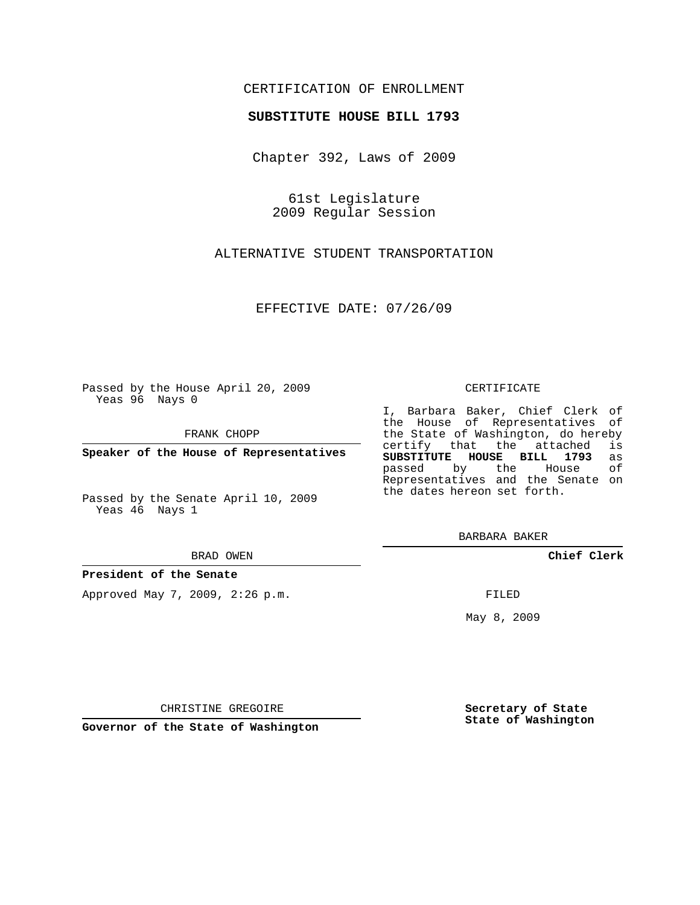# CERTIFICATION OF ENROLLMENT

## **SUBSTITUTE HOUSE BILL 1793**

Chapter 392, Laws of 2009

61st Legislature 2009 Regular Session

ALTERNATIVE STUDENT TRANSPORTATION

EFFECTIVE DATE: 07/26/09

Passed by the House April 20, 2009 Yeas 96 Nays 0

FRANK CHOPP

**Speaker of the House of Representatives**

Passed by the Senate April 10, 2009 Yeas 46 Nays 1

#### BRAD OWEN

## **President of the Senate**

Approved May 7, 2009, 2:26 p.m.

#### CERTIFICATE

I, Barbara Baker, Chief Clerk of the House of Representatives of the State of Washington, do hereby<br>certify that the attached is certify that the attached **SUBSTITUTE HOUSE BILL 1793** as passed by the Representatives and the Senate on the dates hereon set forth.

BARBARA BAKER

**Chief Clerk**

FILED

May 8, 2009

**Secretary of State State of Washington**

CHRISTINE GREGOIRE

**Governor of the State of Washington**